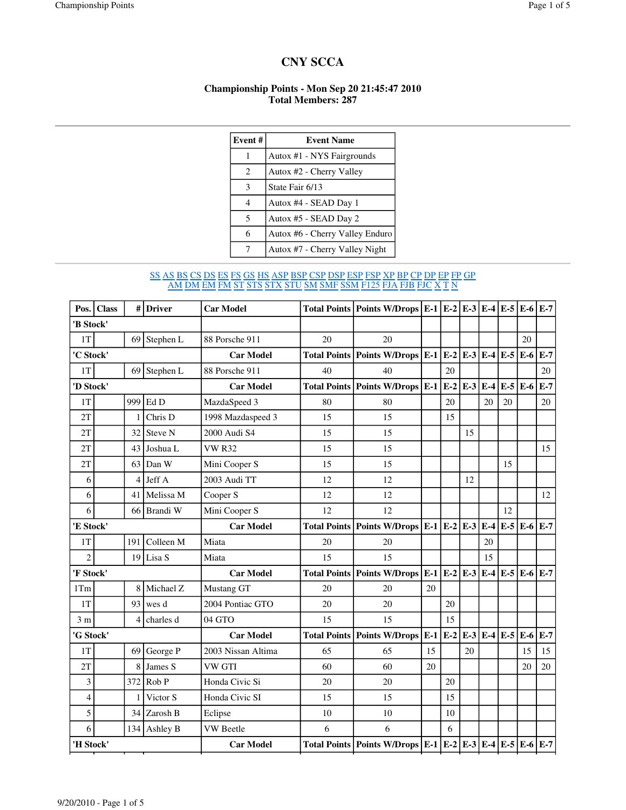## **CNY SCCA**

## **Championship Points - Mon Sep 20 21:45:47 2010 Total Members: 287**

| Event# | <b>Event Name</b>               |
|--------|---------------------------------|
| 1      | Autox #1 - NYS Fairgrounds      |
| 2      | Autox #2 - Cherry Valley        |
| 3      | State Fair 6/13                 |
| 4      | Autox #4 - SEAD Day 1           |
| 5      | Autox #5 - SEAD Day 2           |
| 6      | Autox #6 - Cherry Valley Enduro |
|        | Autox #7 - Cherry Valley Night  |

## SS AS BS CS DS ES FS GS HS ASP BSP CSP DSP ESP FSP XP BP CP DP EP FP GP <u>AM DM EM FM ST STS STX STU SM SMF SSM F125 FJA FJB FJC X T N</u>

|                | Pos. Class |     | # Driver         | <b>Car Model</b>    |                            | Total Points   Points W/Drops   E-1   E-2   E-3   E-4   E-5   E-6          |       |             |               |                   |       |       | $E-7$ |
|----------------|------------|-----|------------------|---------------------|----------------------------|----------------------------------------------------------------------------|-------|-------------|---------------|-------------------|-------|-------|-------|
| 'B Stock'      |            |     |                  |                     |                            |                                                                            |       |             |               |                   |       |       |       |
| 1T             |            |     | $69$ Stephen L   | 88 Porsche 911      | 20                         | 20                                                                         |       |             |               |                   |       | 20    |       |
| 'C Stock'      |            |     |                  | <b>Car Model</b>    |                            | Total Points   Points W/Drops   E-1   E-2   E-3   E-4                      |       |             |               |                   | $E-5$ | $E-6$ | $E-7$ |
| $1\mathrm{T}$  |            |     | $69$ Stephen L   | 88 Porsche 911      | 40                         | 40                                                                         |       | 20          |               |                   |       |       | 20    |
| 'D Stock'      |            |     |                  | <b>Car Model</b>    |                            | Total Points   Points W/Drops   E-1                                        |       |             | $E-2 E-3 E-4$ |                   | $E-5$ | E-6   | $E-7$ |
| 1T             |            |     | 999 Ed D         | MazdaSpeed 3        | 80                         | 80                                                                         |       | 20          |               | 20                | 20    |       | 20    |
| 2T             |            | 1   | Chris D          | 1998 Mazdaspeed 3   | 15                         | 15                                                                         |       | 15          |               |                   |       |       |       |
| 2T             |            | 32  | Steve N          | 2000 Audi S4        | 15                         | 15                                                                         |       |             | 15            |                   |       |       |       |
| 2T             |            | 43  | Joshua L         | <b>VW R32</b>       | 15                         | 15                                                                         |       |             |               |                   |       |       | 15    |
| 2T             |            | 63  | Dan W            | Mini Cooper S       | 15                         | 15                                                                         |       |             |               |                   | 15    |       |       |
| 6              |            | 4   | Jeff A           | 2003 Audi TT        | 12                         | 12                                                                         |       |             | 12            |                   |       |       |       |
| 6              |            |     | 41 Melissa M     | Cooper S            | 12                         | 12                                                                         |       |             |               |                   |       |       | 12    |
| 6              |            |     | 66 Brandi W      | Mini Cooper S       | 12                         | 12                                                                         |       |             |               |                   | 12    |       |       |
| 'E Stock'      |            |     | <b>Car Model</b> | <b>Total Points</b> | Points W/Drops $E-1$ $E-2$ |                                                                            |       | $E-3$ $E-4$ |               | $E-5$             | E-6   | $E-7$ |       |
| 1T             |            | 191 | Colleen M        | Miata               | 20                         | 20                                                                         |       |             |               | 20                |       |       |       |
| $\overline{c}$ |            |     | $19$ Lisa S      | Miata               | 15                         | 15                                                                         |       |             |               | 15                |       |       |       |
| 'F Stock'      |            |     |                  | <b>Car Model</b>    | <b>Total Points</b>        | Points W/Drops $\mathbf{E-1}$ $\mathbf{E-2}$ $\mathbf{E-3}$ $\mathbf{E-4}$ |       |             |               |                   | $E-5$ | $E-6$ | $E-7$ |
| 1Tm            |            |     | 8 Michael Z      | Mustang GT          | 20                         | 20                                                                         | 20    |             |               |                   |       |       |       |
| 1T             |            | 93  | wes d            | 2004 Pontiac GTO    | 20                         | 20                                                                         |       | 20          |               |                   |       |       |       |
| 3 <sub>m</sub> |            | 4   | charles d        | 04 GTO              | 15                         | 15                                                                         |       | 15          |               |                   |       |       |       |
| 'G Stock'      |            |     |                  | <b>Car Model</b>    |                            | <b>Total Points   Points W/Drops  </b>                                     | $E-1$ | $E-2$       |               | $E-3$ $E-4$ $E-5$ |       | E-6   | $E-7$ |
| 1T             |            | 69  | George P         | 2003 Nissan Altima  | 65                         | 65                                                                         | 15    |             | 20            |                   |       | 15    | 15    |
| 2T             |            | 8   | James S          | VW GTI              | 60                         | 60                                                                         | 20    |             |               |                   |       | 20    | 20    |
| 3              |            | 372 | Rob P            | Honda Civic Si      | 20                         | 20                                                                         |       | 20          |               |                   |       |       |       |
| $\overline{4}$ |            | 1   | Victor S         | Honda Civic SI      | 15                         | 15                                                                         |       | 15          |               |                   |       |       |       |
| 5              |            | 34  | Zarosh B         | Eclipse             | 10                         | 10                                                                         |       | 10          |               |                   |       |       |       |
| 6              |            |     | 134 Ashley B     | <b>VW</b> Beetle    | 6                          | 6                                                                          |       | 6           |               |                   |       |       |       |
| 'H Stock'      |            |     |                  | <b>Car Model</b>    |                            | Total Points   Points W/Drops   E-1   E-2   E-3   E-4   E-5   E-6          |       |             |               |                   |       |       | $E-7$ |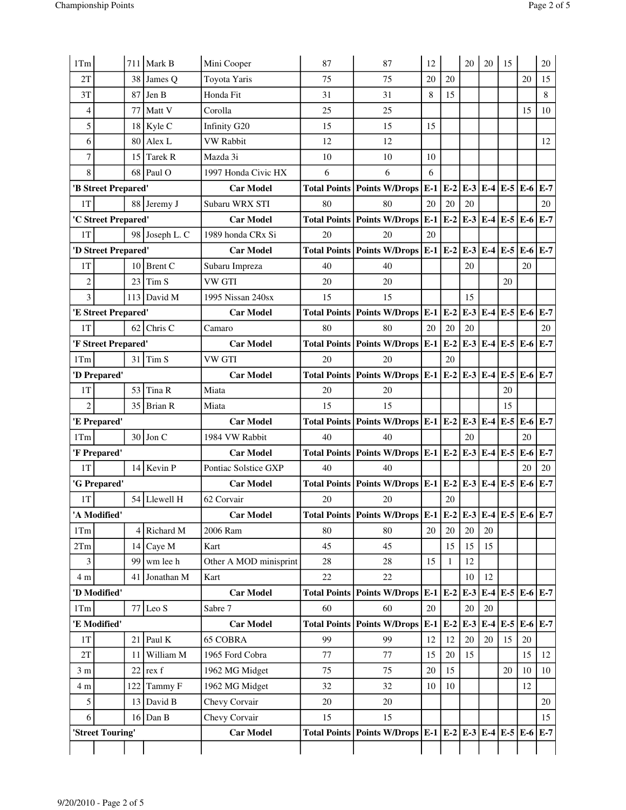| 1Tm<br>2Tm<br>$\mathbf{3}$<br>4 m<br>1Tm<br>1T<br>2T<br>3m<br>4 m<br>5<br>6 | 'G Prepared'<br>'A Modified'<br>99<br>'D Modified'<br>'E Modified'<br>11<br>122<br>'Street Touring' | $14$ Kevin P<br>54 Llewell H<br>$4$ Richard M<br>$14$ Caye M<br>wm lee h<br>41 Jonathan M<br>$77$ Leo S<br>Paul K<br>21<br>William M<br>rex f<br>22<br>Tammy F<br>$13$ David B<br>$16$ Dan B | Pontiac Solstice GXP<br><b>Car Model</b><br>62 Corvair<br><b>Car Model</b><br>2006 Ram<br>Kart<br>Other A MOD minisprint<br>Kart<br><b>Car Model</b><br>Sabre 7<br><b>Car Model</b><br><b>65 COBRA</b><br>1965 Ford Cobra<br>1962 MG Midget<br>1962 MG Midget<br>Chevy Corvair<br>Chevy Corvair<br><b>Car Model</b> | 40<br>20<br>80<br>45<br>28<br>22<br>60<br><b>Total Points</b><br>99<br>77<br>75<br>32<br>20<br>15 | 40<br>Total Points   Points W/Drops $\left E-1\right E-2\right E-3$<br>20<br>Total Points   Points W/Drops   E-1   E-2   E-3   E-4   E-5   E-6   E-7<br>80<br>45<br>28<br>22<br>Total Points   Points W/Drops   E-1   E-2<br>60<br><b>Points W/Drops</b><br>99<br>77<br>75<br>32<br>20<br>15<br>Total Points   Points W/Drops   E-1   E-2   E-3   E-4   E-5   E-6 | 20<br>15<br>20<br>$E-1$<br>12<br>15<br>20<br>10 | 20<br>20<br>15<br>$\mathbf{1}$<br>$E-2$<br>12<br>20<br>15<br>10 | 20<br>15<br>12<br>10<br>$E-3$<br>20<br>$E-3$<br>20<br>15 | 20<br>15<br>12<br>20<br>$E-4$<br>20 | $E-4$ $E-5$<br>E-4 E-5 E-6 E-7<br>15<br>20 | E-6<br>$E-5 E-6 E-7$<br>20<br>15<br>10<br>12 | $E-7$<br>12<br>10<br>20<br>15<br>$E-7$ |
|-----------------------------------------------------------------------------|-----------------------------------------------------------------------------------------------------|----------------------------------------------------------------------------------------------------------------------------------------------------------------------------------------------|---------------------------------------------------------------------------------------------------------------------------------------------------------------------------------------------------------------------------------------------------------------------------------------------------------------------|---------------------------------------------------------------------------------------------------|-------------------------------------------------------------------------------------------------------------------------------------------------------------------------------------------------------------------------------------------------------------------------------------------------------------------------------------------------------------------|-------------------------------------------------|-----------------------------------------------------------------|----------------------------------------------------------|-------------------------------------|--------------------------------------------|----------------------------------------------|----------------------------------------|
|                                                                             |                                                                                                     |                                                                                                                                                                                              |                                                                                                                                                                                                                                                                                                                     |                                                                                                   |                                                                                                                                                                                                                                                                                                                                                                   |                                                 |                                                                 |                                                          |                                     |                                            |                                              |                                        |
|                                                                             |                                                                                                     |                                                                                                                                                                                              |                                                                                                                                                                                                                                                                                                                     |                                                                                                   |                                                                                                                                                                                                                                                                                                                                                                   |                                                 |                                                                 |                                                          |                                     |                                            |                                              |                                        |
|                                                                             |                                                                                                     |                                                                                                                                                                                              |                                                                                                                                                                                                                                                                                                                     |                                                                                                   |                                                                                                                                                                                                                                                                                                                                                                   |                                                 |                                                                 |                                                          |                                     |                                            |                                              |                                        |
|                                                                             |                                                                                                     |                                                                                                                                                                                              |                                                                                                                                                                                                                                                                                                                     |                                                                                                   |                                                                                                                                                                                                                                                                                                                                                                   |                                                 |                                                                 |                                                          |                                     |                                            |                                              |                                        |
|                                                                             |                                                                                                     |                                                                                                                                                                                              |                                                                                                                                                                                                                                                                                                                     |                                                                                                   |                                                                                                                                                                                                                                                                                                                                                                   |                                                 |                                                                 |                                                          |                                     |                                            |                                              |                                        |
|                                                                             |                                                                                                     |                                                                                                                                                                                              |                                                                                                                                                                                                                                                                                                                     |                                                                                                   |                                                                                                                                                                                                                                                                                                                                                                   |                                                 |                                                                 |                                                          |                                     |                                            |                                              |                                        |
|                                                                             |                                                                                                     |                                                                                                                                                                                              |                                                                                                                                                                                                                                                                                                                     |                                                                                                   |                                                                                                                                                                                                                                                                                                                                                                   |                                                 |                                                                 |                                                          |                                     |                                            |                                              |                                        |
|                                                                             |                                                                                                     |                                                                                                                                                                                              |                                                                                                                                                                                                                                                                                                                     |                                                                                                   |                                                                                                                                                                                                                                                                                                                                                                   |                                                 |                                                                 |                                                          |                                     |                                            |                                              |                                        |
|                                                                             |                                                                                                     |                                                                                                                                                                                              |                                                                                                                                                                                                                                                                                                                     |                                                                                                   |                                                                                                                                                                                                                                                                                                                                                                   |                                                 |                                                                 |                                                          |                                     |                                            |                                              |                                        |
|                                                                             |                                                                                                     |                                                                                                                                                                                              |                                                                                                                                                                                                                                                                                                                     |                                                                                                   |                                                                                                                                                                                                                                                                                                                                                                   |                                                 |                                                                 |                                                          |                                     |                                            |                                              |                                        |
|                                                                             |                                                                                                     |                                                                                                                                                                                              |                                                                                                                                                                                                                                                                                                                     |                                                                                                   |                                                                                                                                                                                                                                                                                                                                                                   |                                                 |                                                                 |                                                          |                                     |                                            |                                              |                                        |
|                                                                             |                                                                                                     |                                                                                                                                                                                              |                                                                                                                                                                                                                                                                                                                     |                                                                                                   |                                                                                                                                                                                                                                                                                                                                                                   |                                                 |                                                                 |                                                          |                                     |                                            |                                              |                                        |
|                                                                             |                                                                                                     |                                                                                                                                                                                              |                                                                                                                                                                                                                                                                                                                     |                                                                                                   |                                                                                                                                                                                                                                                                                                                                                                   |                                                 |                                                                 |                                                          |                                     |                                            |                                              |                                        |
|                                                                             |                                                                                                     |                                                                                                                                                                                              |                                                                                                                                                                                                                                                                                                                     |                                                                                                   |                                                                                                                                                                                                                                                                                                                                                                   |                                                 |                                                                 |                                                          |                                     |                                            |                                              |                                        |
|                                                                             |                                                                                                     |                                                                                                                                                                                              |                                                                                                                                                                                                                                                                                                                     |                                                                                                   |                                                                                                                                                                                                                                                                                                                                                                   |                                                 |                                                                 |                                                          |                                     |                                            |                                              |                                        |
| 1T                                                                          |                                                                                                     |                                                                                                                                                                                              |                                                                                                                                                                                                                                                                                                                     |                                                                                                   |                                                                                                                                                                                                                                                                                                                                                                   |                                                 |                                                                 |                                                          |                                     |                                            |                                              |                                        |
|                                                                             |                                                                                                     |                                                                                                                                                                                              |                                                                                                                                                                                                                                                                                                                     |                                                                                                   |                                                                                                                                                                                                                                                                                                                                                                   |                                                 |                                                                 |                                                          |                                     |                                            |                                              |                                        |
| 1T                                                                          |                                                                                                     |                                                                                                                                                                                              |                                                                                                                                                                                                                                                                                                                     |                                                                                                   |                                                                                                                                                                                                                                                                                                                                                                   |                                                 |                                                                 |                                                          |                                     |                                            | 20                                           | 20                                     |
|                                                                             | 'F Prepared'                                                                                        |                                                                                                                                                                                              | <b>Car Model</b>                                                                                                                                                                                                                                                                                                    |                                                                                                   | Total Points   Points W/Drops   E-1   E-2                                                                                                                                                                                                                                                                                                                         |                                                 |                                                                 | $E-3$                                                    |                                     | $E-4$ $E-5$                                | E-6                                          | $E-7$                                  |
| 1Tm                                                                         |                                                                                                     | $30$ Jon C                                                                                                                                                                                   | 1984 VW Rabbit                                                                                                                                                                                                                                                                                                      | 40                                                                                                | 40                                                                                                                                                                                                                                                                                                                                                                |                                                 |                                                                 | 20                                                       |                                     |                                            | 20                                           |                                        |
|                                                                             | 'E Prepared'                                                                                        |                                                                                                                                                                                              | <b>Car Model</b>                                                                                                                                                                                                                                                                                                    |                                                                                                   | Total Points   Points W/Drops   E-1   E-2                                                                                                                                                                                                                                                                                                                         |                                                 |                                                                 | $E-3$                                                    | $E-4$                               | $E-5$                                      | $E-6$                                        | $E-7$                                  |
| $\overline{c}$                                                              |                                                                                                     | $35$ Brian R                                                                                                                                                                                 | Miata                                                                                                                                                                                                                                                                                                               | 15                                                                                                | 15                                                                                                                                                                                                                                                                                                                                                                |                                                 |                                                                 |                                                          |                                     | 15                                         |                                              |                                        |
| 1T                                                                          |                                                                                                     | $53$ Tina R                                                                                                                                                                                  | Miata                                                                                                                                                                                                                                                                                                               | 20                                                                                                | 20                                                                                                                                                                                                                                                                                                                                                                |                                                 |                                                                 |                                                          |                                     | 20                                         |                                              |                                        |
|                                                                             | 'D Prepared'                                                                                        |                                                                                                                                                                                              | <b>Car Model</b>                                                                                                                                                                                                                                                                                                    |                                                                                                   | Total Points   Points W/Drops   E-1   E-2                                                                                                                                                                                                                                                                                                                         |                                                 |                                                                 | $E-3$                                                    | $E-4$                               | $E-5$                                      | $E-6$ $E-7$                                  |                                        |
| 1Tm                                                                         |                                                                                                     | $31$ Tim S                                                                                                                                                                                   | VW GTI                                                                                                                                                                                                                                                                                                              | 20                                                                                                | 20                                                                                                                                                                                                                                                                                                                                                                |                                                 | 20                                                              |                                                          |                                     |                                            |                                              |                                        |
|                                                                             | 'F Street Prepared'                                                                                 |                                                                                                                                                                                              | <b>Car Model</b>                                                                                                                                                                                                                                                                                                    |                                                                                                   | Total Points   Points W/Drops   E-1                                                                                                                                                                                                                                                                                                                               |                                                 | $E-2$                                                           | $E-3$                                                    | $E-4$                               |                                            | $E-5$ $E-6$                                  | $E-7$                                  |
| 1T                                                                          |                                                                                                     | $62$ Chris C                                                                                                                                                                                 | Camaro                                                                                                                                                                                                                                                                                                              | 80                                                                                                | 80                                                                                                                                                                                                                                                                                                                                                                | 20                                              | 20                                                              | 20                                                       |                                     |                                            |                                              | 20                                     |
|                                                                             | 'E Street Prepared'                                                                                 |                                                                                                                                                                                              | <b>Car Model</b>                                                                                                                                                                                                                                                                                                    |                                                                                                   | Total Points   Points W/Drops   E-1                                                                                                                                                                                                                                                                                                                               |                                                 | $E-2$                                                           | $E-3$                                                    | $E-4$                               | $E-5$                                      | E-6                                          | $E-7$                                  |
| $\overline{3}$                                                              |                                                                                                     | 113 David M                                                                                                                                                                                  | 1995 Nissan 240sx                                                                                                                                                                                                                                                                                                   | 15                                                                                                | 15                                                                                                                                                                                                                                                                                                                                                                |                                                 |                                                                 | 15                                                       |                                     |                                            |                                              |                                        |
| $\overline{c}$                                                              |                                                                                                     | 23<br>Tim <sub>S</sub>                                                                                                                                                                       | <b>VW GTI</b>                                                                                                                                                                                                                                                                                                       | 20                                                                                                | 20                                                                                                                                                                                                                                                                                                                                                                |                                                 |                                                                 |                                                          |                                     | 20                                         |                                              |                                        |
| 1T                                                                          |                                                                                                     | 10 Brent $C$                                                                                                                                                                                 | Subaru Impreza                                                                                                                                                                                                                                                                                                      | 40                                                                                                | 40                                                                                                                                                                                                                                                                                                                                                                |                                                 |                                                                 | 20                                                       |                                     |                                            | 20                                           |                                        |
|                                                                             | 'D Street Prepared'                                                                                 |                                                                                                                                                                                              | <b>Car Model</b>                                                                                                                                                                                                                                                                                                    |                                                                                                   | Total Points   Points W/Drops   E-1   E-2                                                                                                                                                                                                                                                                                                                         |                                                 |                                                                 | $E-3$                                                    | $E-4$                               | $E-5$                                      | $E-6$                                        | $E-7$                                  |
| 1T                                                                          |                                                                                                     | 98 Joseph L. C                                                                                                                                                                               | 1989 honda CRx Si                                                                                                                                                                                                                                                                                                   | 20                                                                                                | 20                                                                                                                                                                                                                                                                                                                                                                | 20                                              |                                                                 |                                                          |                                     |                                            |                                              |                                        |
|                                                                             | 'C Street Prepared'                                                                                 |                                                                                                                                                                                              | <b>Car Model</b>                                                                                                                                                                                                                                                                                                    |                                                                                                   | <b>Total Points   Points W/Drops</b>                                                                                                                                                                                                                                                                                                                              | $E-1$                                           | $E-2$                                                           | $E-3$                                                    | $E-4$                               | $E-5$ $E-6$                                |                                              | $E-7$                                  |
| 1T                                                                          |                                                                                                     | 88 Jeremy J                                                                                                                                                                                  | Subaru WRX STI                                                                                                                                                                                                                                                                                                      | 80                                                                                                | 80                                                                                                                                                                                                                                                                                                                                                                | 20                                              | 20                                                              | 20                                                       |                                     |                                            |                                              | 20                                     |
|                                                                             | 'B Street Prepared'                                                                                 |                                                                                                                                                                                              | <b>Car Model</b>                                                                                                                                                                                                                                                                                                    |                                                                                                   | <b>Total Points Points W/Drops</b>                                                                                                                                                                                                                                                                                                                                | $E-1$                                           | $E-2$                                                           | $E-3$                                                    | $E-4$                               | $E-5$ $E-6$                                |                                              | $E-7$                                  |
| 8                                                                           |                                                                                                     | $68$ Paul O                                                                                                                                                                                  | 1997 Honda Civic HX                                                                                                                                                                                                                                                                                                 | 6                                                                                                 | 6                                                                                                                                                                                                                                                                                                                                                                 | 6                                               |                                                                 |                                                          |                                     |                                            |                                              |                                        |
| $\boldsymbol{7}$                                                            |                                                                                                     | <b>Tarek R</b><br>15                                                                                                                                                                         | Mazda 3i                                                                                                                                                                                                                                                                                                            | 10                                                                                                | 10                                                                                                                                                                                                                                                                                                                                                                | 10                                              |                                                                 |                                                          |                                     |                                            |                                              |                                        |
| 6                                                                           |                                                                                                     | 80<br>Alex L                                                                                                                                                                                 | VW Rabbit                                                                                                                                                                                                                                                                                                           | 12                                                                                                | 12                                                                                                                                                                                                                                                                                                                                                                |                                                 |                                                                 |                                                          |                                     |                                            |                                              | 12                                     |
| 5                                                                           |                                                                                                     | $18$ Kyle C                                                                                                                                                                                  | Infinity G20                                                                                                                                                                                                                                                                                                        | 15                                                                                                | 15                                                                                                                                                                                                                                                                                                                                                                | 15                                              |                                                                 |                                                          |                                     |                                            |                                              |                                        |
| 4                                                                           |                                                                                                     | $77$ Matt V                                                                                                                                                                                  | Corolla                                                                                                                                                                                                                                                                                                             | 25                                                                                                | 25                                                                                                                                                                                                                                                                                                                                                                |                                                 |                                                                 |                                                          |                                     |                                            | 15                                           | 10                                     |
| 3T                                                                          |                                                                                                     | $87$ Jen B                                                                                                                                                                                   | Honda Fit                                                                                                                                                                                                                                                                                                           | 31                                                                                                | 31                                                                                                                                                                                                                                                                                                                                                                | 8                                               | 15                                                              |                                                          |                                     |                                            |                                              | 8                                      |
| 2T                                                                          |                                                                                                     | 38 James Q                                                                                                                                                                                   | Toyota Yaris                                                                                                                                                                                                                                                                                                        | 75                                                                                                | 75                                                                                                                                                                                                                                                                                                                                                                | 20                                              | 20                                                              |                                                          |                                     |                                            | 20                                           | 15                                     |
| 1Tm                                                                         |                                                                                                     | $711$ Mark B                                                                                                                                                                                 | Mini Cooper                                                                                                                                                                                                                                                                                                         | 87                                                                                                | 87                                                                                                                                                                                                                                                                                                                                                                | 12                                              |                                                                 | 20                                                       | 20                                  | 15                                         |                                              | 20                                     |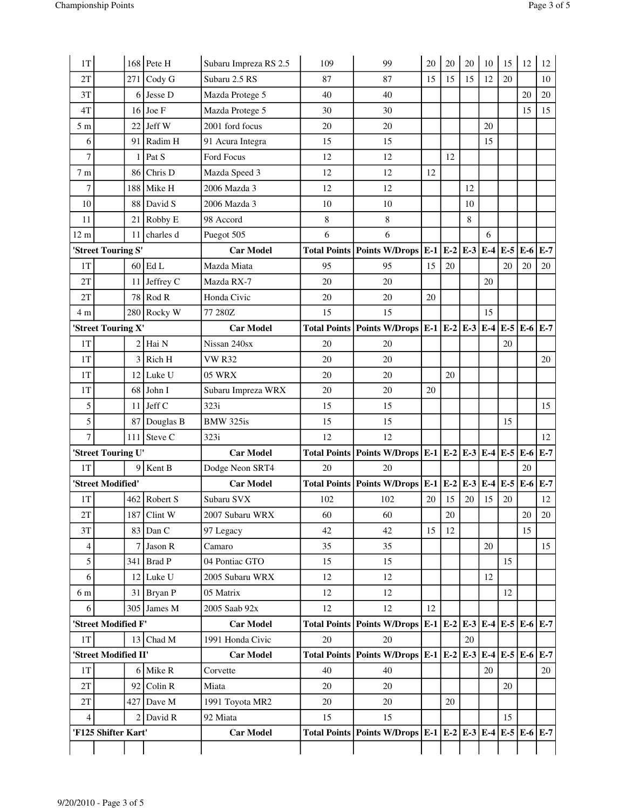| 1T             |                      |     | $168$ Pete H   | Subaru Impreza RS 2.5 | 109    | 99                                                                      | 20 | 20 | 20            | 10 | 15    | 12  | 12    |
|----------------|----------------------|-----|----------------|-----------------------|--------|-------------------------------------------------------------------------|----|----|---------------|----|-------|-----|-------|
| 2T             |                      | 271 | $\vert$ Cody G | Subaru 2.5 RS         | 87     | 87                                                                      | 15 | 15 | 15            | 12 | 20    |     | 10    |
| 3T             |                      | 6   | Jesse D        | Mazda Protege 5       | 40     | 40                                                                      |    |    |               |    |       | 20  | 20    |
| 4T             |                      |     | $16$ Joe F     | Mazda Protege 5       | 30     | 30                                                                      |    |    |               |    |       | 15  | 15    |
| 5 <sub>m</sub> |                      | 22  | Jeff W         | 2001 ford focus       | 20     | 20                                                                      |    |    |               | 20 |       |     |       |
| 6              |                      |     | 91 Radim H     | 91 Acura Integra      | 15     | 15                                                                      |    |    |               | 15 |       |     |       |
| $\overline{7}$ |                      | 1   | Pat S          | Ford Focus            | 12     | 12                                                                      |    | 12 |               |    |       |     |       |
| 7 <sub>m</sub> |                      | 86  | Chris D        | Mazda Speed 3         | 12     | 12                                                                      | 12 |    |               |    |       |     |       |
| 7              |                      | 188 | Mike H         | 2006 Mazda 3          | 12     | 12                                                                      |    |    | 12            |    |       |     |       |
| 10             |                      | 88  | David S        | 2006 Mazda 3          | 10     | 10                                                                      |    |    | 10            |    |       |     |       |
| 11             |                      | 21  | Robby E        | 98 Accord             | 8      | 8                                                                       |    |    | 8             |    |       |     |       |
| $12 \text{ m}$ |                      | 11  | charles d      | Puegot 505            | 6      | 6                                                                       |    |    |               | 6  |       |     |       |
|                | 'Street Touring S'   |     |                | <b>Car Model</b>      |        | Total Points   Points W/Drops   E-1                                     |    |    | $E-2 E-3 E-4$ |    | $E-5$ | E-6 | $E-7$ |
| 1T             |                      |     | $60$ Ed L      | Mazda Miata           | 95     | 95                                                                      | 15 | 20 |               |    | 20    | 20  | 20    |
| 2T             |                      |     | 11 Jeffrey C   | Mazda RX-7            | 20     | 20                                                                      |    |    |               | 20 |       |     |       |
| 2T             |                      |     | $78$ Rod R     | Honda Civic           | 20     | 20                                                                      | 20 |    |               |    |       |     |       |
| 4 m            |                      |     | 280 Rocky W    | 77 280Z               | 15     | 15                                                                      |    |    |               | 15 |       |     |       |
|                | 'Street Touring X'   |     |                | <b>Car Model</b>      |        | Total Points   Points W/Drops   E-1   E-2   E-3   E-4                   |    |    |               |    | $E-5$ | E-6 | $E-7$ |
| 1T             |                      |     | $2$ Hai N      | Nissan 240sx          | 20     | 20                                                                      |    |    |               |    | 20    |     |       |
| 1T             |                      | 3   | Rich H         | <b>VW R32</b>         | 20     | 20                                                                      |    |    |               |    |       |     | 20    |
| 1T             |                      | 12  | Luke U         | <b>05 WRX</b>         | 20     | 20                                                                      |    | 20 |               |    |       |     |       |
| 1T             |                      | 68  | John I         | Subaru Impreza WRX    | 20     | 20                                                                      | 20 |    |               |    |       |     |       |
| 5              |                      |     | $11$ Jeff C    | 323i                  | 15     | 15                                                                      |    |    |               |    |       |     | 15    |
| 5              |                      |     | 87 Douglas B   | BMW 325is             | 15     | 15                                                                      |    |    |               |    | 15    |     |       |
| 7              |                      | 111 | Steve C        | 323i                  | 12     | 12                                                                      |    |    |               |    |       |     | 12    |
|                | 'Street Touring U'   |     |                | <b>Car Model</b>      |        | Total Points   Points W/Drops   E-1   E-2   E-3   E-4                   |    |    |               |    | $E-5$ | E-6 | $E-7$ |
| 1T             |                      | 9   | Kent B         | Dodge Neon SRT4       | 20     | 20                                                                      |    |    |               |    |       | 20  |       |
|                | 'Street Modified'    |     |                | <b>Car Model</b>      |        | Total Points   Points W/Drops   E-1   E-2                               |    |    | $E-3E-4$      |    | $E-5$ | E-6 | $E-7$ |
| 1T             |                      |     | 462 Robert S   | Subaru SVX            | 102    | 102                                                                     | 20 | 15 | 20            | 15 | 20    |     | 12    |
| 2T             |                      |     | $187$ Clint W  | 2007 Subaru WRX       | 60     | 60                                                                      |    | 20 |               |    |       | 20  | 20    |
| 3T             |                      |     | $83$ Dan C     | 97 Legacy             | 42     | 42                                                                      | 15 | 12 |               |    |       | 15  |       |
| 4              |                      |     | $7$ Jason R    | Camaro                | 35     | 35                                                                      |    |    |               | 20 |       |     | 15    |
| 5              |                      |     | 341 Brad P     | 04 Pontiac GTO        | 15     | 15                                                                      |    |    |               |    | 15    |     |       |
| 6              |                      |     | $12$ Luke U    | 2005 Subaru WRX       | 12     | 12                                                                      |    |    |               | 12 |       |     |       |
| 6 m            |                      |     | $31$ Bryan P   | 05 Matrix             | 12     | 12                                                                      |    |    |               |    | 12    |     |       |
| 6              |                      |     | 305 James M    | 2005 Saab 92x         | $12\,$ | 12                                                                      | 12 |    |               |    |       |     |       |
|                | 'Street Modified F'  |     |                | <b>Car Model</b>      |        | Total Points   Points W/Drops   E-1   E-2   E-3   E-4   E-5   E-6   E-7 |    |    |               |    |       |     |       |
| 1T             |                      |     | $13$ Chad M    | 1991 Honda Civic      | 20     | 20                                                                      |    |    | 20            |    |       |     |       |
|                | 'Street Modified II' |     |                | <b>Car Model</b>      |        | Total Points   Points W/Drops   E-1   E-2   E-3   E-4   E-5   E-6       |    |    |               |    |       |     | $E-7$ |
| 1T             |                      |     | $6$ Mike R     | Corvette              | 40     | 40                                                                      |    |    |               | 20 |       |     | 20    |
| 2T             |                      | 92  | Colin R        | Miata                 | 20     | 20                                                                      |    |    |               |    | 20    |     |       |
| 2T             |                      |     | $427$ Dave M   | 1991 Toyota MR2       | 20     | 20                                                                      |    | 20 |               |    |       |     |       |
| $\overline{4}$ |                      |     | $2$ David R    | 92 Miata              | 15     | 15                                                                      |    |    |               |    | 15    |     |       |
|                | 'F125 Shifter Kart'  |     |                | <b>Car Model</b>      |        | Total Points   Points W/Drops   E-1   E-2   E-3   E-4   E-5   E-6   E-7 |    |    |               |    |       |     |       |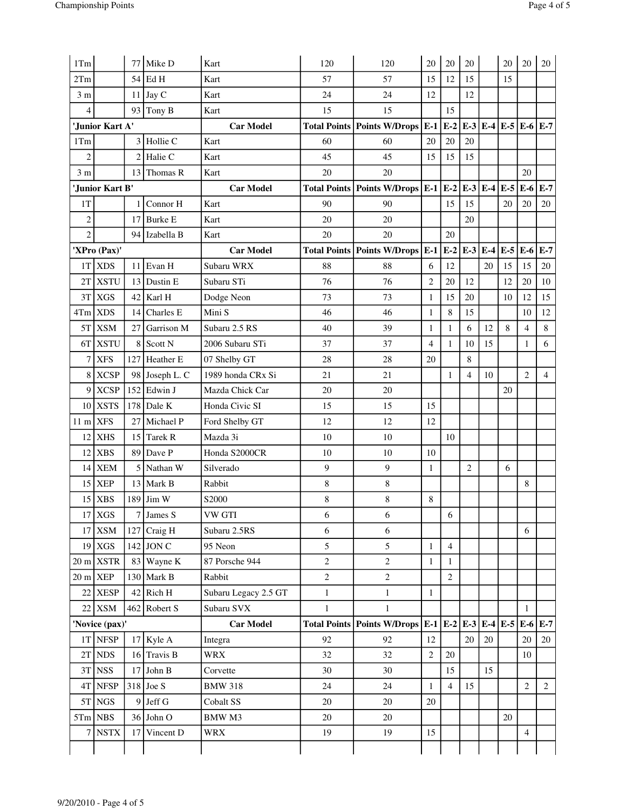| 1Tm                |                     | 77             | Mike D         | Kart                 | 120            | 120                                                                     | 20             | 20                         | 20             |             | 20             | 20             | 20             |
|--------------------|---------------------|----------------|----------------|----------------------|----------------|-------------------------------------------------------------------------|----------------|----------------------------|----------------|-------------|----------------|----------------|----------------|
| 2Tm                |                     | 54             | l Ed H         | Kart                 | 57             | 57                                                                      | 15             | 12                         | 15             |             | 15             |                |                |
| 3 <sub>m</sub>     |                     | 11             | $\int$ Jay C   | Kart                 | 24             | 24                                                                      | 12             |                            | 12             |             |                |                |                |
| $\overline{4}$     |                     | 93             | Tony B         | Kart                 | 15             | 15                                                                      |                | 15                         |                |             |                |                |                |
|                    | 'Junior Kart A'     |                |                | <b>Car Model</b>     |                | <b>Total Points   Points W/Drops  </b>                                  | $E-1$          | $ E-2 E-3 E-4 E-5 E-6 E-7$ |                |             |                |                |                |
| 1Tm                |                     | 3              | Hollie C       | Kart                 | 60             | 60                                                                      | 20             | 20                         | 20             |             |                |                |                |
| $\overline{c}$     |                     | $\overline{2}$ | Halie C        | Kart                 | 45             | 45                                                                      | 15             | 15                         | 15             |             |                |                |                |
| 3 <sub>m</sub>     |                     | 13             | Thomas R       | Kart                 | 20             | 20                                                                      |                |                            |                |             |                | 20             |                |
|                    | 'Junior Kart B'     |                |                | <b>Car Model</b>     |                | Total Points   Points W/Drops $E-1$ $E-2$                               |                |                            |                | $E-3$ $E-4$ | $E-5$          | E-6            | $E-7$          |
| 1T                 |                     |                | Connor H       | Kart                 | 90             | 90                                                                      |                | 15                         | 15             |             | 20             | 20             | 20             |
| $\overline{2}$     |                     | 17             | <b>Burke E</b> | Kart                 | 20             | 20                                                                      |                |                            | 20             |             |                |                |                |
| $\overline{c}$     |                     | 94             | Izabella B     | Kart                 | 20             | 20                                                                      |                | 20                         |                |             |                |                |                |
|                    | 'XPro (Pax)'        |                |                | <b>Car Model</b>     |                | Total Points   Points W/Drops   E-1                                     |                | $E-2$                      |                |             | $E-3 E-4 E-5 $ | E-6            | $E-7$          |
|                    | 1T XDS              | 11             | Evan H         | Subaru WRX           | 88             | 88                                                                      | 6              | 12                         |                | 20          | 15             | 15             | 20             |
|                    | 2T XSTU             | 13             | Dustin E       | Subaru STi           | 76             | 76                                                                      | $\overline{c}$ | 20                         | 12             |             | 12             | 20             | 10             |
| 3T                 | <b>XGS</b>          | 42             | Karl H         | Dodge Neon           | 73             | 73                                                                      | $\mathbf{1}$   | 15                         | 20             |             | 10             | 12             | 15             |
| 4Tm                | <b>XDS</b>          | 14             | Charles E      | Mini S               | 46             | 46                                                                      | $\mathbf{1}$   | $\,8\,$                    | 15             |             |                | 10             | 12             |
| 5T                 | <b>XSM</b>          | 27             | Garrison M     | Subaru 2.5 RS        | 40             | 39                                                                      | $\mathbf{1}$   | $\mathbf{1}$               | 6              | 12          | 8              | 4              | 8              |
|                    | 6T XSTU             | 8              | Scott N        | 2006 Subaru STi      | 37             | 37                                                                      | $\overline{4}$ | $\mathbf{1}$               | 10             | 15          |                | 1              | 6              |
| 7                  | <b>XFS</b>          | 127            | Heather E      | 07 Shelby GT         | 28             | 28                                                                      | 20             |                            | $\,8\,$        |             |                |                |                |
| 8                  | <b>XCSP</b>         | 98             | Joseph L. C    | 1989 honda CRx Si    | 21             | 21                                                                      |                | $\mathbf{1}$               | $\overline{4}$ | 10          |                | $\overline{2}$ | $\overline{4}$ |
| 9                  | <b>XCSP</b>         | 152            | Edwin J        | Mazda Chick Car      | 20             | 20                                                                      |                |                            |                |             | 20             |                |                |
|                    | 10 XSTS             | 178            | Dale K         | Honda Civic SI       | 15             | 15                                                                      | 15             |                            |                |             |                |                |                |
| $11 \text{ m}$ XFS |                     | 27             | Michael P      | Ford Shelby GT       | 12             | 12                                                                      | 12             |                            |                |             |                |                |                |
| 12                 | <b>XHS</b>          | 15             | Tarek R        | Mazda 3i             | 10             | 10                                                                      |                | 10                         |                |             |                |                |                |
| 12                 | <b>XBS</b>          | 89             | Dave P         | Honda S2000CR        | 10             | 10                                                                      | 10             |                            |                |             |                |                |                |
| 14                 | <b>XEM</b>          | 5              | Nathan W       | Silverado            | $\overline{9}$ | 9                                                                       | $\mathbf{1}$   |                            | $\mathfrak{2}$ |             | 6              |                |                |
| 15                 | <b>XEP</b>          | 13             | Mark B         | Rabbit               | 8              | $\,$ 8 $\,$                                                             |                |                            |                |             |                | 8              |                |
| 15                 | <b>XBS</b>          | 189            | Jim W          | S2000                | 8              | $\,$ 8 $\,$                                                             | 8              |                            |                |             |                |                |                |
|                    | 17 XGS              | 7              | James S        | VW GTI               | 6              | 6                                                                       |                | 6                          |                |             |                |                |                |
|                    | 17 XSM              | 127            | Craig H        | Subaru 2.5RS         | 6              | 6                                                                       |                |                            |                |             |                | 6              |                |
|                    | $19$ XGS            |                | $142$ JON C    | 95 Neon              | 5              | 5                                                                       | $\mathbf{1}$   | $\overline{4}$             |                |             |                |                |                |
|                    | $20 \text{ m}$ XSTR | 83             | Wayne K        | 87 Porsche 944       | $\overline{c}$ | $\sqrt{2}$                                                              | $\mathbf{1}$   | $\mathbf{1}$               |                |             |                |                |                |
| $20 \text{ m}$ XEP |                     | 130            | Mark B         | Rabbit               | $\overline{2}$ | $\overline{2}$                                                          |                | $\overline{2}$             |                |             |                |                |                |
|                    | 22 XESP             |                | $42$ Rich H    | Subaru Legacy 2.5 GT | $\mathbf{1}$   | $\,1$                                                                   | $\mathbf{1}$   |                            |                |             |                |                |                |
|                    | 22 XSM              |                | $462$ Robert S | Subaru SVX           | $\,1$          | $\mathbf{1}$                                                            |                |                            |                |             |                | 1              |                |
|                    | 'Novice (pax)'      |                |                | <b>Car Model</b>     |                | Total Points   Points W/Drops   E-1   E-2   E-3   E-4   E-5   E-6   E-7 |                |                            |                |             |                |                |                |
|                    | 1T NFSP             |                | $17$ Kyle A    | Integra              | 92             | 92                                                                      | 12             |                            | 20             | 20          |                | 20             | 20             |
|                    | $2T$ NDS            |                | $16$ Travis B  | <b>WRX</b>           | 32             | 32                                                                      | $\overline{2}$ | 20                         |                |             |                | 10             |                |
|                    | 3T NSS              | 17             | John B         | Corvette             | $30\,$         | 30                                                                      |                | 15                         |                | 15          |                |                |                |
|                    | 4T NFSP             | 318            | Joe S          | <b>BMW 318</b>       | 24             | 24                                                                      | $\mathbf{1}$   | $\overline{4}$             | 15             |             |                | $\overline{2}$ | 2              |
|                    | 5T NGS              | 9              | Jeff G         | Cobalt SS            | 20             | 20                                                                      | 20             |                            |                |             |                |                |                |
|                    | $5Tm$ NBS           |                | $36$ John O    | BMW M3               | 20             | 20                                                                      |                |                            |                |             | 20             |                |                |
| $\overline{7}$     | <b>NSTX</b>         | 17             | Vincent D      | <b>WRX</b>           | 19             | 19                                                                      | 15             |                            |                |             |                | $\overline{4}$ |                |
|                    |                     |                |                |                      |                |                                                                         |                |                            |                |             |                |                |                |